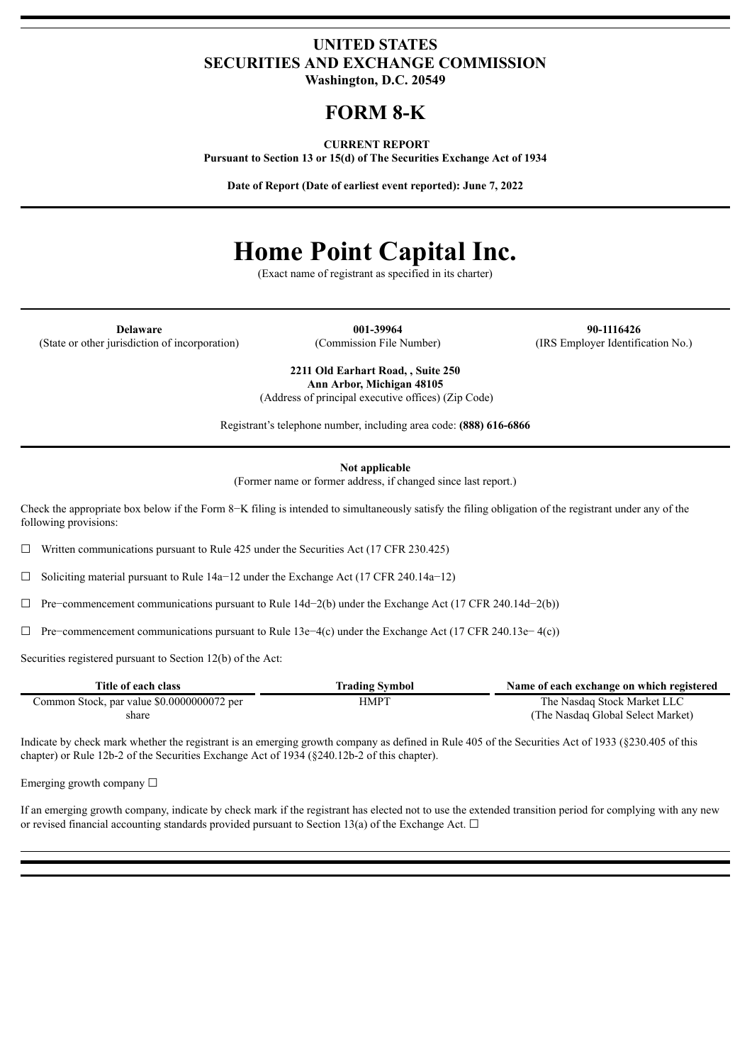## **UNITED STATES SECURITIES AND EXCHANGE COMMISSION**

**Washington, D.C. 20549**

## **FORM 8-K**

#### **CURRENT REPORT**

**Pursuant to Section 13 or 15(d) of The Securities Exchange Act of 1934**

**Date of Report (Date of earliest event reported): June 7, 2022**

# **Home Point Capital Inc.**

(Exact name of registrant as specified in its charter)

(State or other jurisdiction of incorporation) (Commission File Number) (IRS Employer Identification No.)

**Delaware 001-39964 90-1116426**

**2211 Old Earhart Road, , Suite 250 Ann Arbor, Michigan 48105**

(Address of principal executive offices) (Zip Code)

Registrant's telephone number, including area code: **(888) 616-6866**

**Not applicable**

(Former name or former address, if changed since last report.)

Check the appropriate box below if the Form 8−K filing is intended to simultaneously satisfy the filing obligation of the registrant under any of the following provisions:

 $\Box$  Written communications pursuant to Rule 425 under the Securities Act (17 CFR 230.425)

☐ Soliciting material pursuant to Rule 14a−12 under the Exchange Act (17 CFR 240.14a−12)

☐ Pre−commencement communications pursuant to Rule 14d−2(b) under the Exchange Act (17 CFR 240.14d−2(b))

☐ Pre−commencement communications pursuant to Rule 13e−4(c) under the Exchange Act (17 CFR 240.13e− 4(c))

Securities registered pursuant to Section 12(b) of the Act:

| Title of each class                        | <b>Trading Symbol</b> | Name of each exchange on which registered |
|--------------------------------------------|-----------------------|-------------------------------------------|
| Common Stock, par value \$0.0000000072 per | HMPT                  | The Nasdaq Stock Market LLC               |
| share                                      |                       | (The Nasdaq Global Select Market)         |

Indicate by check mark whether the registrant is an emerging growth company as defined in Rule 405 of the Securities Act of 1933 (§230.405 of this chapter) or Rule 12b-2 of the Securities Exchange Act of 1934 (§240.12b-2 of this chapter).

Emerging growth company  $\Box$ 

If an emerging growth company, indicate by check mark if the registrant has elected not to use the extended transition period for complying with any new or revised financial accounting standards provided pursuant to Section 13(a) of the Exchange Act.  $\Box$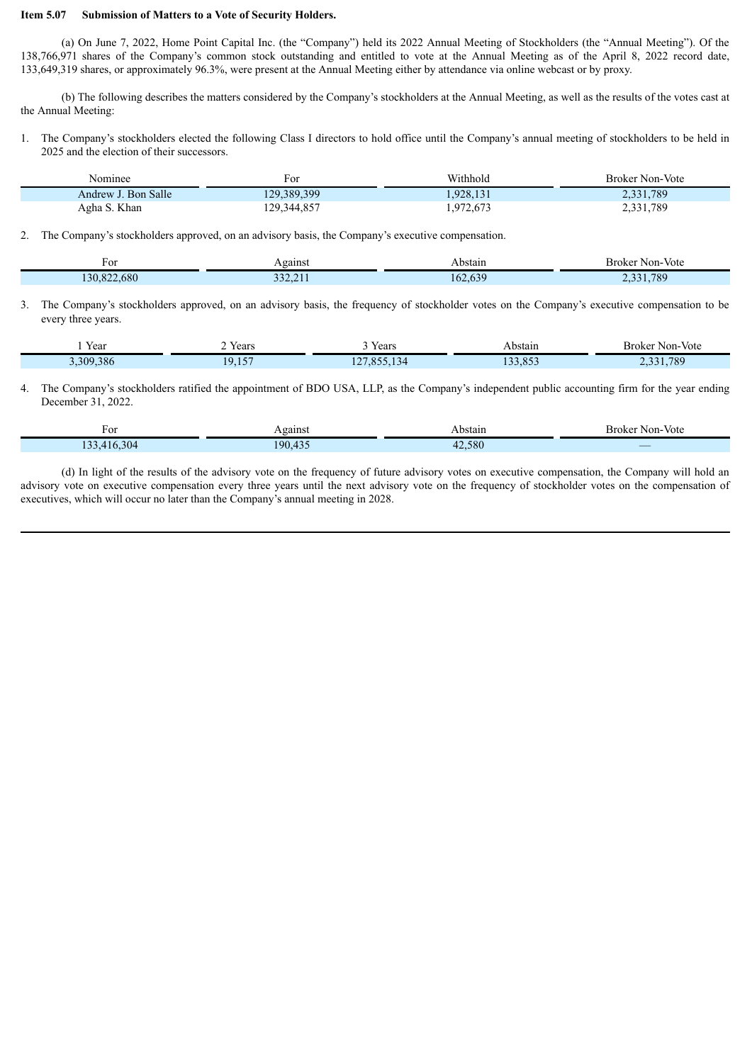### **Item 5.07 Submission of Matters to a Vote of Security Holders.**

(a) On June 7, 2022, Home Point Capital Inc. (the "Company") held its 2022 Annual Meeting of Stockholders (the "Annual Meeting"). Of the 138,766,971 shares of the Company's common stock outstanding and entitled to vote at the Annual Meeting as of the April 8, 2022 record date, 133,649,319 shares, or approximately 96.3%, were present at the Annual Meeting either by attendance via online webcast or by proxy.

(b) The following describes the matters considered by the Company's stockholders at the Annual Meeting, as well as the results of the votes cast at the Annual Meeting:

1. The Company's stockholders elected the following Class I directors to hold office until the Company's annual meeting of stockholders to be held in 2025 and the election of their successors.

| Nominee             | F Or        | Withhold  | <b>Broker Non-Vote</b> |
|---------------------|-------------|-----------|------------------------|
| Andrew J. Bon Salle | 129,389,399 | 1.928.131 | 2,331,789              |
| Agha S. Khan        | 129,344,857 | 1,972,673 | 2,331,789              |

2. The Company's stockholders approved, on an advisory basis, the Company's executive compensation.

| For              | Against                   | Abstain | - -<br>Broker Non-Vote                |
|------------------|---------------------------|---------|---------------------------------------|
| .680<br>130,822. | 222.21<br><i>JJL.L</i> II | 162,639 | 1,789<br>0.231<br>$\rightarrow$<br>້. |

3. The Company's stockholders approved, on an advisory basis, the frequency of stockholder votes on the Company's executive compensation to be every three years.

| Year    | Years<br>.                                                         | Years                                              | ⊾bstain<br>$   -$ | Broker Non-Vote |
|---------|--------------------------------------------------------------------|----------------------------------------------------|-------------------|-----------------|
| 309.386 | $\rightarrow$ $\rightarrow$ $\rightarrow$<br>۱Q<br>$\cdot$ $\cdot$ | OC <sub>4</sub><br>$\overline{\phantom{a}}$<br>$-$ | 0.52<br>.0JJ      | .789            |

4. The Company's stockholders ratified the appointment of BDO USA, LLP, as the Company's independent public accounting firm for the year ending December 31, 2022.

| r or                            | Against            | Abstain        | Non-Vote<br>– Broker   |
|---------------------------------|--------------------|----------------|------------------------|
| $\Omega$<br>$\Lambda$ 16<br>304 | $\sim$<br>$\Omega$ | $-2.580$<br>4, | <b>Service Service</b> |

(d) In light of the results of the advisory vote on the frequency of future advisory votes on executive compensation, the Company will hold an advisory vote on executive compensation every three years until the next advisory vote on the frequency of stockholder votes on the compensation of executives, which will occur no later than the Company's annual meeting in 2028.